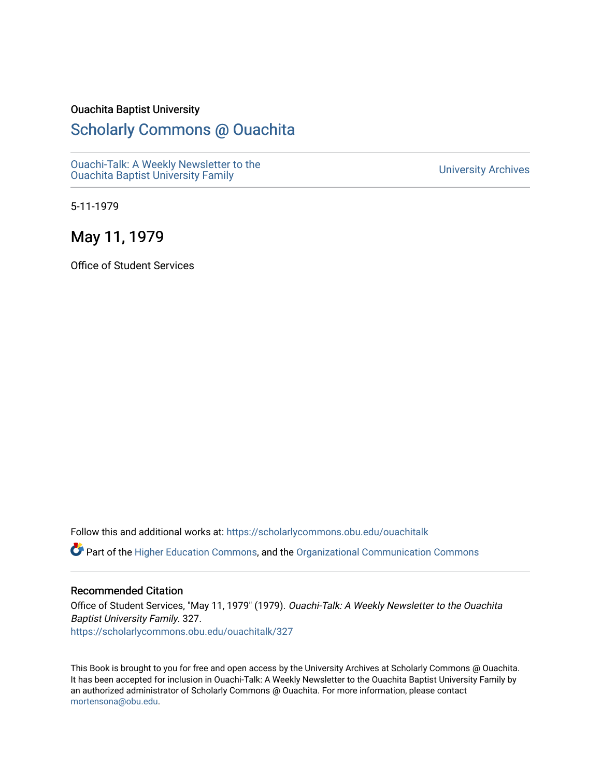### Ouachita Baptist University

# [Scholarly Commons @ Ouachita](https://scholarlycommons.obu.edu/)

[Ouachi-Talk: A Weekly Newsletter to the](https://scholarlycommons.obu.edu/ouachitalk)  Ouachi-Taik. A weekly Newsletter to the community of the University Archives<br>[Ouachita Baptist University Family](https://scholarlycommons.obu.edu/ouachitalk)

5-11-1979

## May 11, 1979

Office of Student Services

Follow this and additional works at: [https://scholarlycommons.obu.edu/ouachitalk](https://scholarlycommons.obu.edu/ouachitalk?utm_source=scholarlycommons.obu.edu%2Fouachitalk%2F327&utm_medium=PDF&utm_campaign=PDFCoverPages) 

Part of the [Higher Education Commons,](http://network.bepress.com/hgg/discipline/1245?utm_source=scholarlycommons.obu.edu%2Fouachitalk%2F327&utm_medium=PDF&utm_campaign=PDFCoverPages) and the [Organizational Communication Commons](http://network.bepress.com/hgg/discipline/335?utm_source=scholarlycommons.obu.edu%2Fouachitalk%2F327&utm_medium=PDF&utm_campaign=PDFCoverPages)

### Recommended Citation

Office of Student Services, "May 11, 1979" (1979). Ouachi-Talk: A Weekly Newsletter to the Ouachita Baptist University Family. 327. [https://scholarlycommons.obu.edu/ouachitalk/327](https://scholarlycommons.obu.edu/ouachitalk/327?utm_source=scholarlycommons.obu.edu%2Fouachitalk%2F327&utm_medium=PDF&utm_campaign=PDFCoverPages) 

This Book is brought to you for free and open access by the University Archives at Scholarly Commons @ Ouachita. It has been accepted for inclusion in Ouachi-Talk: A Weekly Newsletter to the Ouachita Baptist University Family by an authorized administrator of Scholarly Commons @ Ouachita. For more information, please contact [mortensona@obu.edu.](mailto:mortensona@obu.edu)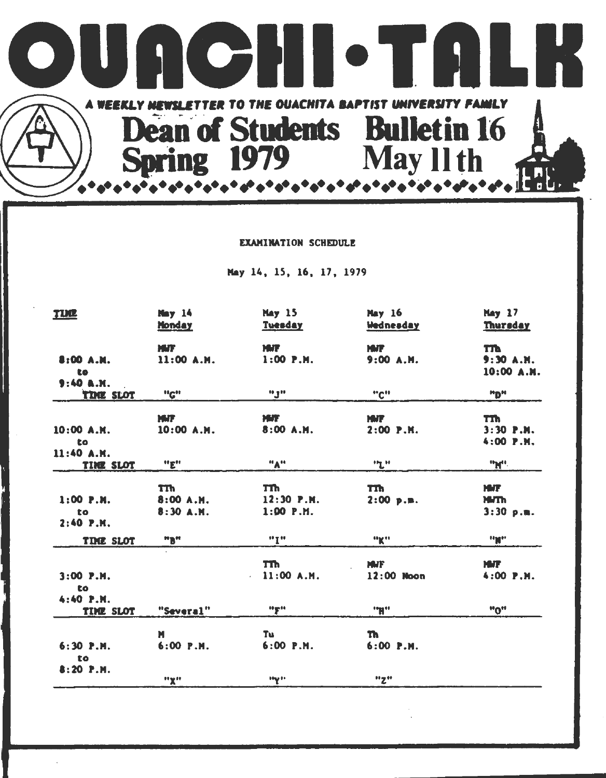

#### EXAMINATION SCHEDULE

May 14, 15, 16, 17, 1979

| <u>TUC</u>                       | Nay 14<br><b>Honday</b>             | <b>May 15</b><br><b>Tuesday</b>       | <b>May 16</b><br><b>Wednesday</b> | <b>Hay 17</b><br>Thursday              |
|----------------------------------|-------------------------------------|---------------------------------------|-----------------------------------|----------------------------------------|
| 8:00 A.M.<br>to<br>9:40A.M.      | <b>MAT</b><br>11:00 A.M.            | <b>MIT</b><br>$1:00$ P.M.             | <b>MAT</b><br>9:00 A.M.           | m<br>9:30 A.H.<br>10:00 A.M.           |
| <b>THE SLOT</b>                  | "C"                                 | ngu                                   | "C"                               | "D"                                    |
| 10:00 A.M.<br>to<br>11:40 A.M.   | <b>MAT</b><br>10:00 A.M.            | <b>MATE</b><br>8:00 A.M.              | <b>MAT</b><br>$2:00$ P.M.         | m<br>$3:30$ P.M.<br>$4:00$ $P.M.$      |
| <b>TIME SLOT</b>                 | "E"                                 | "A"                                   | "L"                               | "M".                                   |
| $1:00$ P.M.<br>to<br>$2:40$ P.M. | <b>TTh</b><br>8:00 A.M.<br>8:30A.M. | TTh.<br>$12:30$ P.M.<br>$1:00$ $P.M.$ | m<br>$2:00$ p.m.                  | <b>MJT</b><br><b>HITH</b><br>3:30 p.m. |
| TIME SLOT                        | "B"                                 | <b>*17**</b>                          | "K"                               | "M"                                    |
| $3:00$ P.M.<br>to.<br>4:40 P.M.  |                                     | <b>TTh</b><br>11:00A.M.               | <b>MMF</b><br>12:00 Noon          | <b>MAT</b><br>$4:00$ $P.M.$            |
| <b>TIME SLOT</b>                 | "Several"                           | <b>"F"</b>                            | "H"                               | "0"                                    |
| 6:30 P.M.<br>to<br>$8:20$ P.M.   | М<br>$6:00$ P.M.                    | Тu<br>$6:00$ P.M.                     | Th.<br>6:00 P.M.                  |                                        |
|                                  | <b>HyH</b>                          | <b>Hy H</b>                           | "Z"                               |                                        |